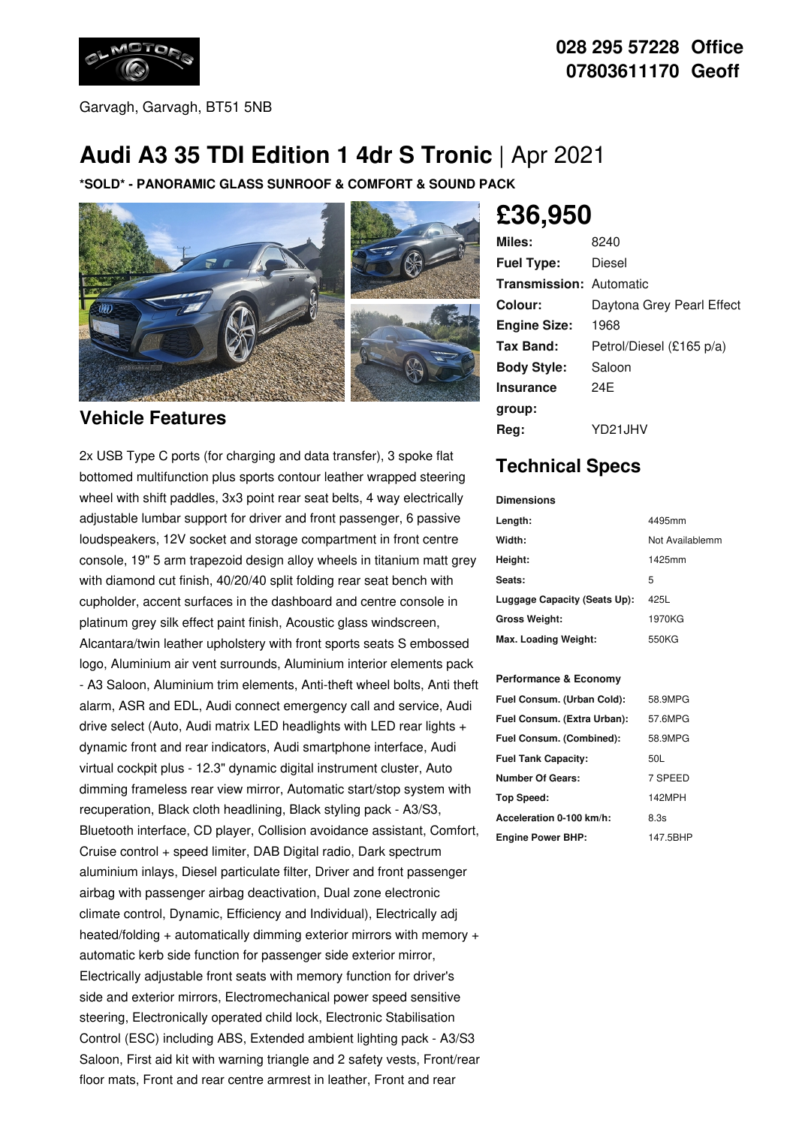

Garvagh, Garvagh, BT51 5NB

## **028 295 57228 Office 07803611170 Geoff**

# **Audi A3 35 TDI Edition 1 4dr S Tronic** | Apr 2021

**\*SOLD\* - PANORAMIC GLASS SUNROOF & COMFORT & SOUND PACK**



#### **Vehicle Features**

2x USB Type C ports (for charging and data transfer), 3 spoke flat bottomed multifunction plus sports contour leather wrapped steering wheel with shift paddles, 3x3 point rear seat belts, 4 way electrically adjustable lumbar support for driver and front passenger, 6 passive loudspeakers, 12V socket and storage compartment in front centre console, 19" 5 arm trapezoid design alloy wheels in titanium matt grey with diamond cut finish, 40/20/40 split folding rear seat bench with cupholder, accent surfaces in the dashboard and centre console in platinum grey silk effect paint finish, Acoustic glass windscreen, Alcantara/twin leather upholstery with front sports seats S embossed logo, Aluminium air vent surrounds, Aluminium interior elements pack - A3 Saloon, Aluminium trim elements, Anti-theft wheel bolts, Anti theft alarm, ASR and EDL, Audi connect emergency call and service, Audi drive select (Auto, Audi matrix LED headlights with LED rear lights + dynamic front and rear indicators, Audi smartphone interface, Audi virtual cockpit plus - 12.3" dynamic digital instrument cluster, Auto dimming frameless rear view mirror, Automatic start/stop system with recuperation, Black cloth headlining, Black styling pack - A3/S3, Bluetooth interface, CD player, Collision avoidance assistant, Comfort, Cruise control + speed limiter, DAB Digital radio, Dark spectrum aluminium inlays, Diesel particulate filter, Driver and front passenger airbag with passenger airbag deactivation, Dual zone electronic climate control, Dynamic, Efficiency and Individual), Electrically adj heated/folding + automatically dimming exterior mirrors with memory + automatic kerb side function for passenger side exterior mirror, Electrically adjustable front seats with memory function for driver's side and exterior mirrors, Electromechanical power speed sensitive steering, Electronically operated child lock, Electronic Stabilisation Control (ESC) including ABS, Extended ambient lighting pack - A3/S3 Saloon, First aid kit with warning triangle and 2 safety vests, Front/rear floor mats, Front and rear centre armrest in leather, Front and rear

# **£36,950**

| Miles:                         | 8240                      |
|--------------------------------|---------------------------|
| <b>Fuel Type:</b>              | Diesel                    |
| <b>Transmission: Automatic</b> |                           |
| Colour:                        | Daytona Grey Pearl Effect |
| <b>Engine Size:</b>            | 1968                      |
| Tax Band:                      | Petrol/Diesel (£165 p/a)  |
| <b>Body Style:</b>             | Saloon                    |
| <b>Insurance</b>               | 24F                       |
| group:                         |                           |
| Rea:                           | YD21.JHV                  |

## **Technical Specs**

| <b>Dimensions</b>            |                 |
|------------------------------|-----------------|
| Length:                      | 4495mm          |
| Width:                       | Not Availablemm |
| Height:                      | 1425mm          |
| Seats:                       | 5               |
| Luggage Capacity (Seats Up): | 425L            |
| <b>Gross Weight:</b>         | 1970KG          |
| Max. Loading Weight:         | 550KG           |

#### **Performance & Economy**

| Fuel Consum. (Urban Cold):  | 58.9MPG  |
|-----------------------------|----------|
| Fuel Consum. (Extra Urban): | 57.6MPG  |
| Fuel Consum. (Combined):    | 58.9MPG  |
| <b>Fuel Tank Capacity:</b>  | 50L      |
| <b>Number Of Gears:</b>     | 7 SPEED  |
| Top Speed:                  | 142MPH   |
| Acceleration 0-100 km/h:    | 8.3s     |
| <b>Engine Power BHP:</b>    | 147.5BHP |